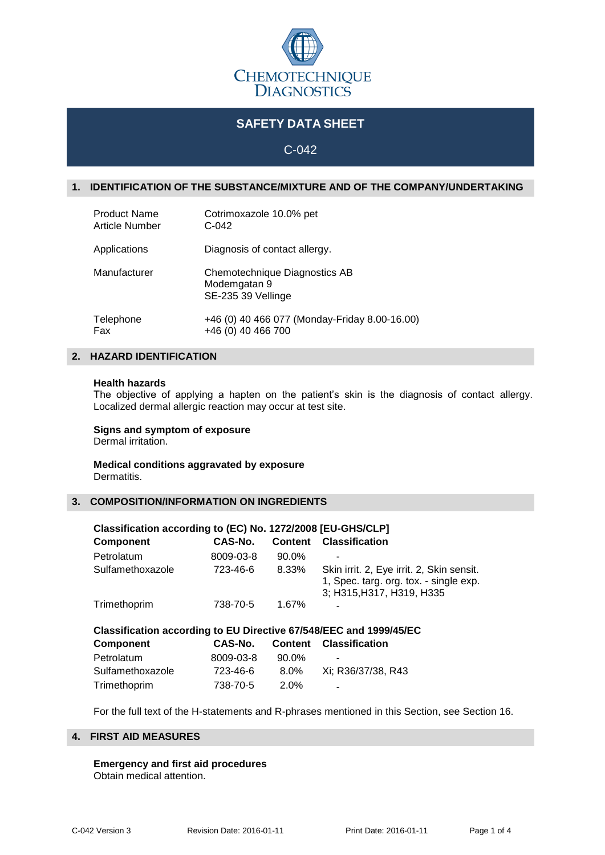

# **SAFETY DATA SHEET**

# C-042

### **1. IDENTIFICATION OF THE SUBSTANCE/MIXTURE AND OF THE COMPANY/UNDERTAKING**

| <b>Product Name</b> | Cotrimoxazole 10.0% pet                                             |
|---------------------|---------------------------------------------------------------------|
| Article Number      | $C-042$                                                             |
| Applications        | Diagnosis of contact allergy.                                       |
| Manufacturer        | Chemotechnique Diagnostics AB<br>Modemgatan 9<br>SE-235 39 Vellinge |
| Telephone           | +46 (0) 40 466 077 (Monday-Friday 8.00-16.00)                       |
| Fax                 | +46 (0) 40 466 700                                                  |

## **2. HAZARD IDENTIFICATION**

#### **Health hazards**

The objective of applying a hapten on the patient's skin is the diagnosis of contact allergy. Localized dermal allergic reaction may occur at test site.

# **Signs and symptom of exposure**

Dermal irritation.

#### **Medical conditions aggravated by exposure** Dermatitis.

#### **3. COMPOSITION/INFORMATION ON INGREDIENTS**

| Classification according to (EC) No. 1272/2008 [EU-GHS/CLP]        |           |                |                                                                     |  |  |
|--------------------------------------------------------------------|-----------|----------------|---------------------------------------------------------------------|--|--|
| Component                                                          | CAS-No.   | <b>Content</b> | <b>Classification</b>                                               |  |  |
| Petrolatum                                                         | 8009-03-8 | 90.0%          |                                                                     |  |  |
| Sulfamethoxazole                                                   | 723-46-6  | 8.33%          | Skin irrit. 2, Eye irrit. 2, Skin sensit.                           |  |  |
|                                                                    |           |                | 1, Spec. targ. org. tox. - single exp.<br>3; H315, H317, H319, H335 |  |  |
| Trimethoprim                                                       | 738-70-5  | 1.67%          |                                                                     |  |  |
| Classification according to EU Directive 67/548/EEC and 1999/45/EC |           |                |                                                                     |  |  |
| <b>Component</b>                                                   | CAS-No.   | <b>Content</b> | <b>Classification</b>                                               |  |  |
| Petrolatum                                                         | 8009-03-8 | 90.0%          |                                                                     |  |  |
| Sulfamethoxazole                                                   | 723-46-6  | $8.0\%$        | Xi; R36/37/38, R43                                                  |  |  |
| Trimethoprim                                                       | 738-70-5  | 2.0%           |                                                                     |  |  |

For the full text of the H-statements and R-phrases mentioned in this Section, see Section 16.

### **4. FIRST AID MEASURES**

**Emergency and first aid procedures** Obtain medical attention.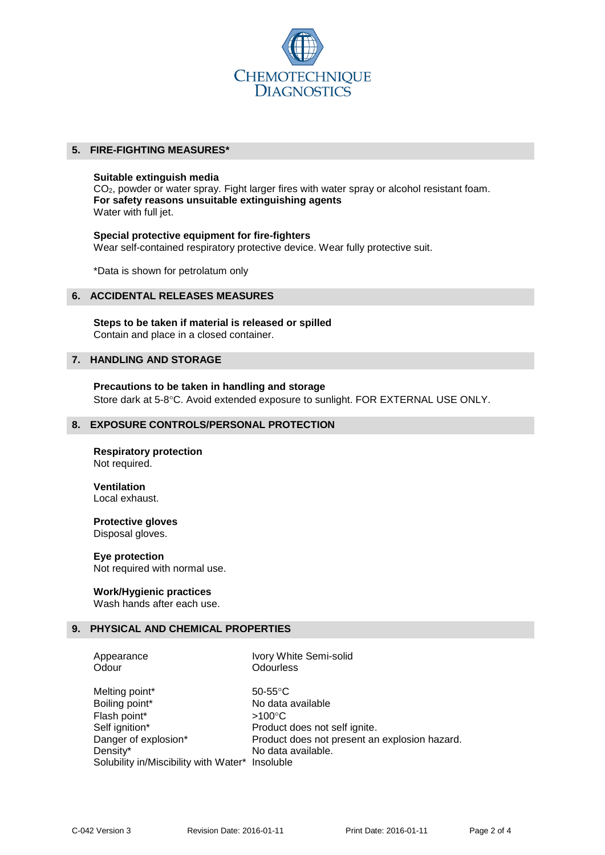

### **5. FIRE-FIGHTING MEASURES\***

#### **Suitable extinguish media**

CO2, powder or water spray. Fight larger fires with water spray or alcohol resistant foam. **For safety reasons unsuitable extinguishing agents** Water with full jet.

**Special protective equipment for fire-fighters** Wear self-contained respiratory protective device. Wear fully protective suit.

\*Data is shown for petrolatum only

#### **6. ACCIDENTAL RELEASES MEASURES**

**Steps to be taken if material is released or spilled** Contain and place in a closed container.

### **7. HANDLING AND STORAGE**

**Precautions to be taken in handling and storage** Store dark at 5-8°C. Avoid extended exposure to sunlight. FOR EXTERNAL USE ONLY.

#### **8. EXPOSURE CONTROLS/PERSONAL PROTECTION**

**Respiratory protection** Not required.

**Ventilation** Local exhaust.

**Protective gloves** Disposal gloves.

**Eye protection** Not required with normal use.

#### **Work/Hygienic practices**

Wash hands after each use.

### **9. PHYSICAL AND CHEMICAL PROPERTIES**

Odour **Odourless** 

Appearance Ivory White Semi-solid

Melting point\* 50-55°C Boiling point\* No data available Flash point\*  $>100^{\circ}$ C Self ignition\* Product does not self ignite. Danger of explosion\* Product does not present an explosion hazard. Density\* No data available. Solubility in/Miscibility with Water\* Insoluble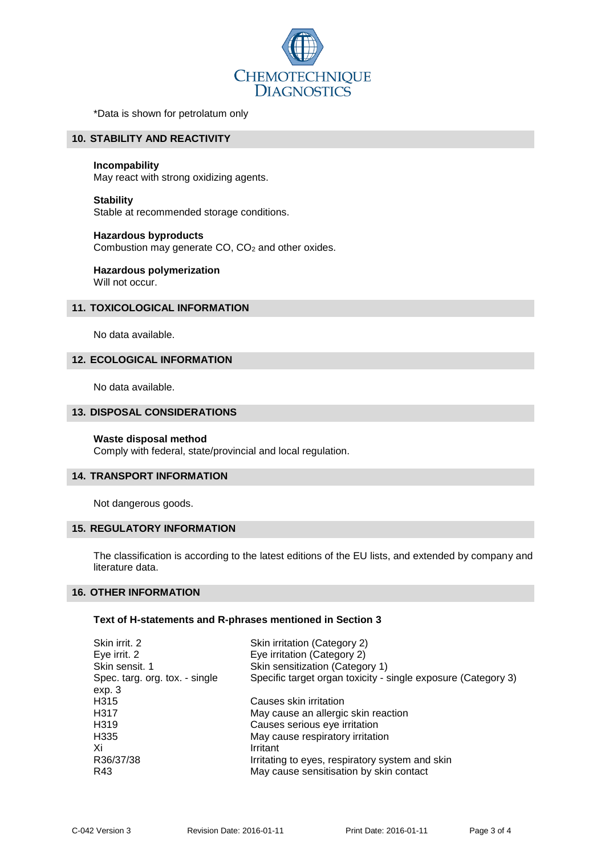

\*Data is shown for petrolatum only

### **10. STABILITY AND REACTIVITY**

#### **Incompability**

May react with strong oxidizing agents.

### **Stability** Stable at recommended storage conditions.

# **Hazardous byproducts**

Combustion may generate CO, CO<sup>2</sup> and other oxides.

#### **Hazardous polymerization** Will not occur.

### **11. TOXICOLOGICAL INFORMATION**

No data available.

### **12. ECOLOGICAL INFORMATION**

No data available.

### **13. DISPOSAL CONSIDERATIONS**

#### **Waste disposal method**

Comply with federal, state/provincial and local regulation.

### **14. TRANSPORT INFORMATION**

Not dangerous goods.

### **15. REGULATORY INFORMATION**

The classification is according to the latest editions of the EU lists, and extended by company and literature data.

### **16. OTHER INFORMATION**

#### **Text of H-statements and R-phrases mentioned in Section 3**

| Skin irritation (Category 2)                                  |  |  |
|---------------------------------------------------------------|--|--|
| Eye irritation (Category 2)                                   |  |  |
| Skin sensitization (Category 1)                               |  |  |
| Specific target organ toxicity - single exposure (Category 3) |  |  |
|                                                               |  |  |
| Causes skin irritation                                        |  |  |
| May cause an allergic skin reaction                           |  |  |
| Causes serious eye irritation                                 |  |  |
| May cause respiratory irritation                              |  |  |
| Irritant                                                      |  |  |
| Irritating to eyes, respiratory system and skin               |  |  |
| May cause sensitisation by skin contact                       |  |  |
|                                                               |  |  |